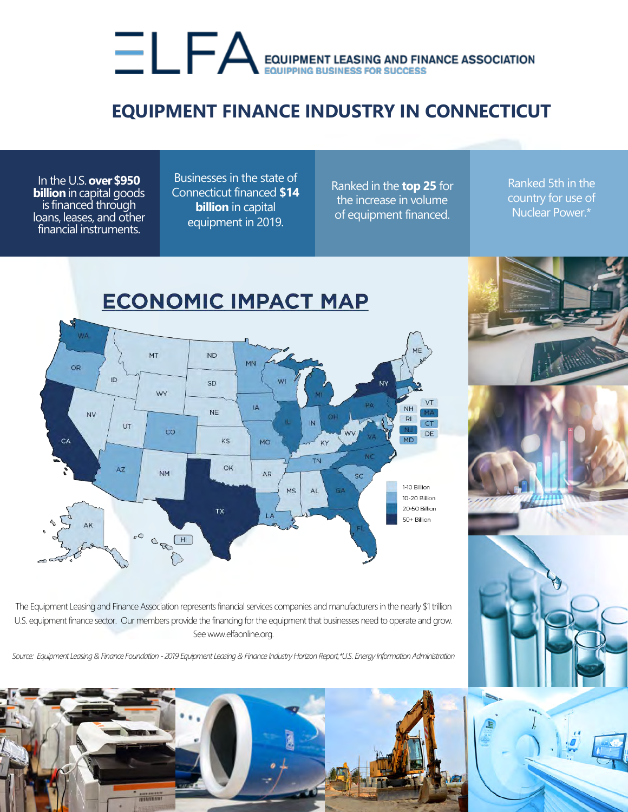## EQUIPMENT LEASING AND FINANCE ASSOCIATION

## **EQUIPMENT FINANCE INDUSTRY IN CONNECTICUT**

In the U.S.**over \$950 billion** in capital goods is financed through loans, leases, and other financial instruments.

Businesses in the state of Connecticut financed **\$14 billion** in capital equipment in 2019.

Ranked in the **top 25** for the increase in volume of equipment financed.

Ranked 5th in the country for use of Nuclear Power.\*



The Equipment Leasing and Finance Association represents financial services companies and manufacturers in the nearly \$1 trillion U.S. equipment finance sector. Our members provide the financing for the equipment that businesses need to operate and grow. See www.elfaonline.org.

*Source: Equipment Leasing & Finance Foundation - 2019 Equipment Leasing & Finance Industry Horizon Report,\*U.S. Energy Information Administration*